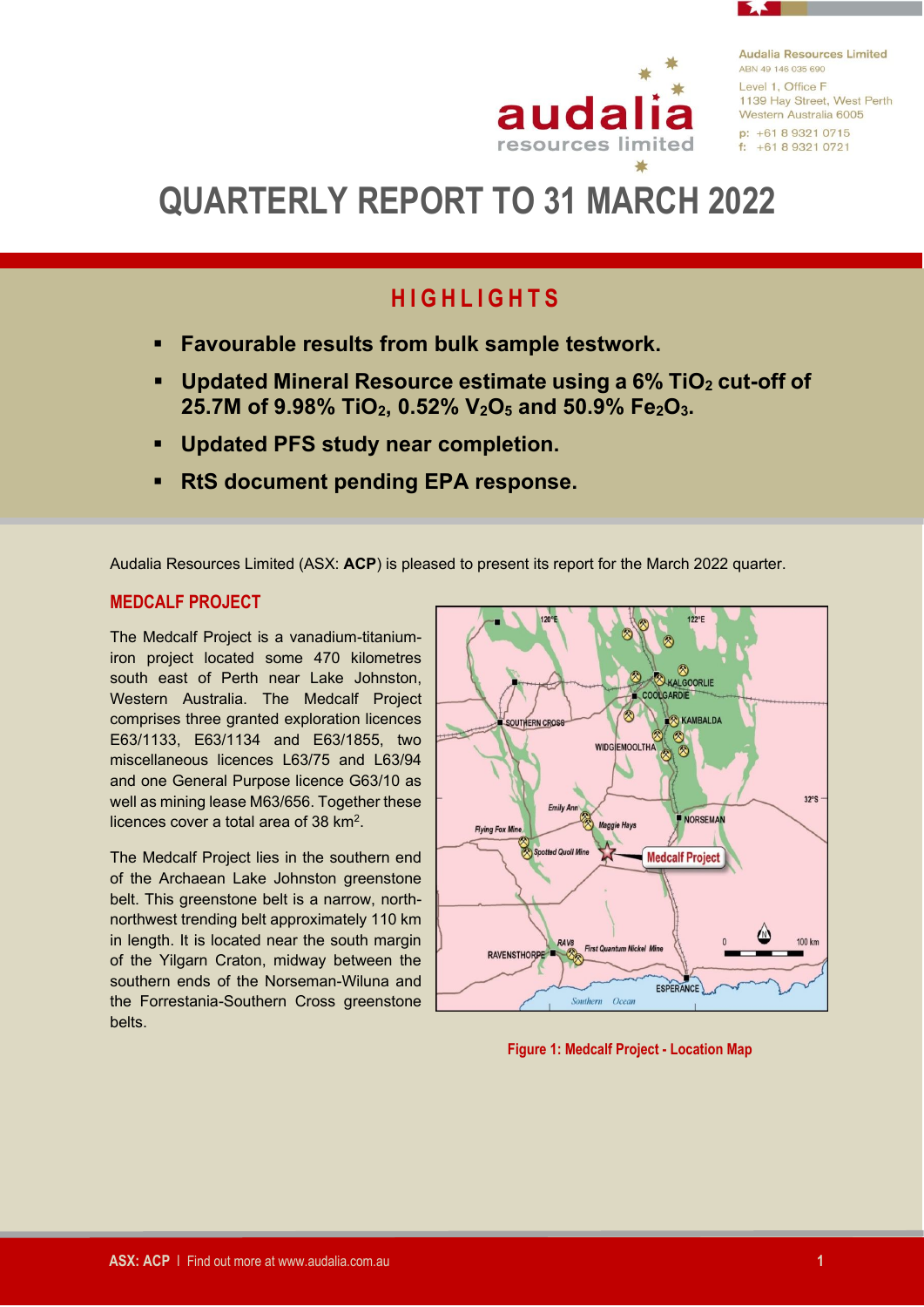

**Audalia Resources Limited** ARN 49 146 035 690 Level 1, Office F 1139 Hay Street, West Perth Western Australia 6005  $p: +61893210715$  $f: +61893210721$ 

# **QUARTERLY REPORT TO 31 MARCH 2022**

# **H I G H L I G H T S**

- **Favourable results from bulk sample testwork.**
- **Updated Mineral Resource estimate using a 6% TiO<sup>2</sup> cut-off of 25.7M of 9.98% TiO2, 0.52% V2O<sup>5</sup> and 50.9% Fe2O3.**
- **Updated PFS study near completion.**
- **RtS document pending EPA response.**

Audalia Resources Limited (ASX: **ACP**) is pleased to present its report for the March 2022 quarter.

### **MEDCALF PROJECT**

The Medcalf Project is a vanadium-titaniumiron project located some 470 kilometres south east of Perth near Lake Johnston, Western Australia. The Medcalf Project comprises three granted exploration licences E63/1133, E63/1134 and E63/1855, two miscellaneous licences L63/75 and L63/94 and one General Purpose licence G63/10 as well as mining lease M63/656. Together these licences cover a total area of 38 km<sup>2</sup>.

The Medcalf Project lies in the southern end of the Archaean Lake Johnston greenstone belt. This greenstone belt is a narrow, northnorthwest trending belt approximately 110 km in length. It is located near the south margin of the Yilgarn Craton, midway between the southern ends of the Norseman-Wiluna and the Forrestania-Southern Cross greenstone belts.



**Figure 1: Medcalf Project - Location Map**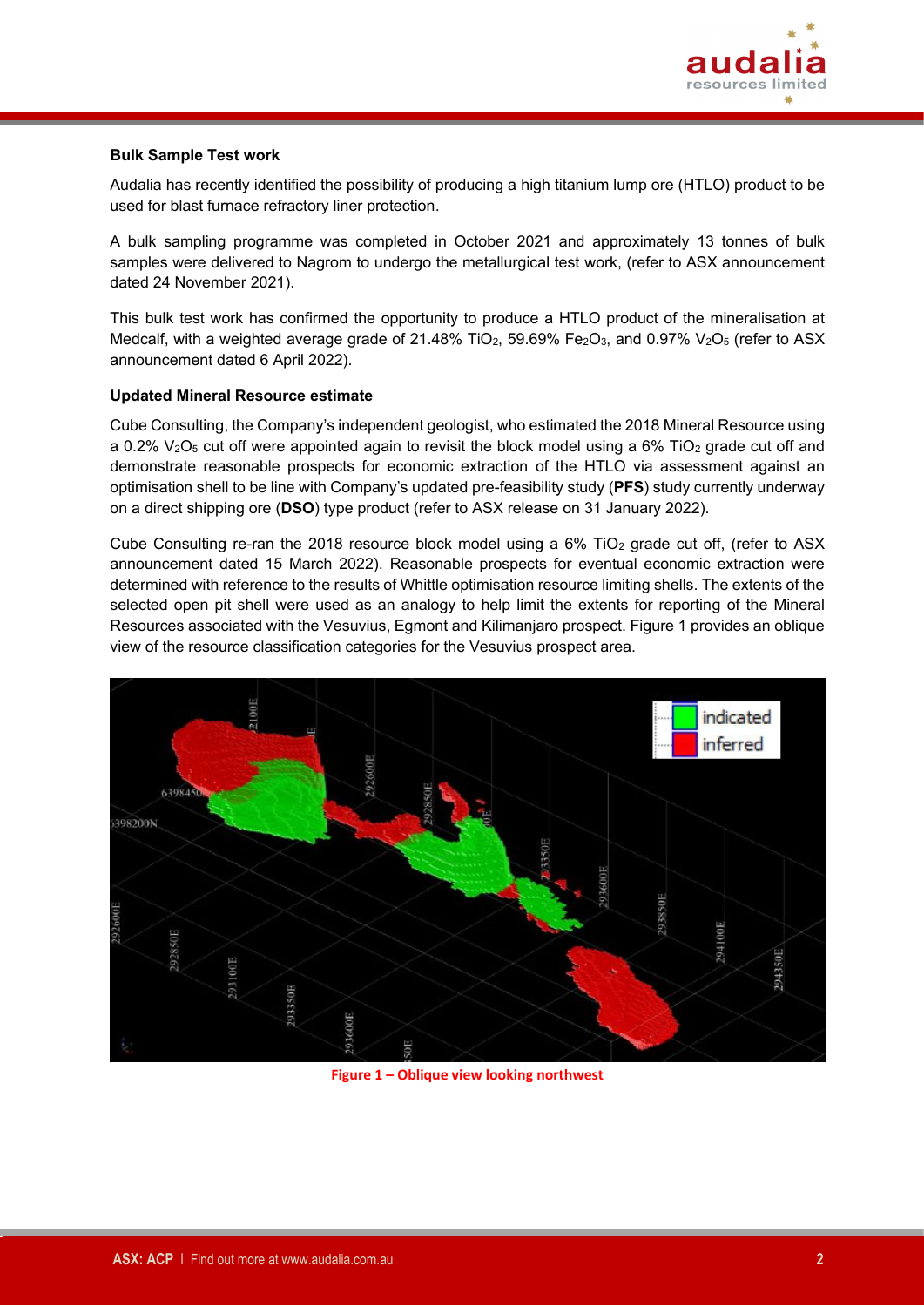

#### **Bulk Sample Test work**

Audalia has recently identified the possibility of producing a high titanium lump ore (HTLO) product to be used for blast furnace refractory liner protection.

A bulk sampling programme was completed in October 2021 and approximately 13 tonnes of bulk samples were delivered to Nagrom to undergo the metallurgical test work, (refer to ASX announcement dated 24 November 2021).

This bulk test work has confirmed the opportunity to produce a HTLO product of the mineralisation at Medcalf, with a weighted average grade of 21.48% TiO<sub>2</sub>, 59.69% Fe<sub>2</sub>O<sub>3</sub>, and 0.97% V<sub>2</sub>O<sub>5</sub> (refer to ASX announcement dated 6 April 2022).

#### **Updated Mineral Resource estimate**

Cube Consulting, the Company's independent geologist, who estimated the 2018 Mineral Resource using a 0.2%  $V_2O_5$  cut off were appointed again to revisit the block model using a 6% TiO<sub>2</sub> grade cut off and demonstrate reasonable prospects for economic extraction of the HTLO via assessment against an optimisation shell to be line with Company's updated pre-feasibility study (**PFS**) study currently underway on a direct shipping ore (**DSO**) type product (refer to ASX release on 31 January 2022).

Cube Consulting re-ran the 2018 resource block model using a  $6\%$  TiO<sub>2</sub> grade cut off, (refer to ASX announcement dated 15 March 2022). Reasonable prospects for eventual economic extraction were determined with reference to the results of Whittle optimisation resource limiting shells. The extents of the selected open pit shell were used as an analogy to help limit the extents for reporting of the Mineral Resources associated with the Vesuvius, Egmont and Kilimanjaro prospect. Figure 1 provides an oblique view of the resource classification categories for the Vesuvius prospect area.



**Figure 1 – Oblique view looking northwest**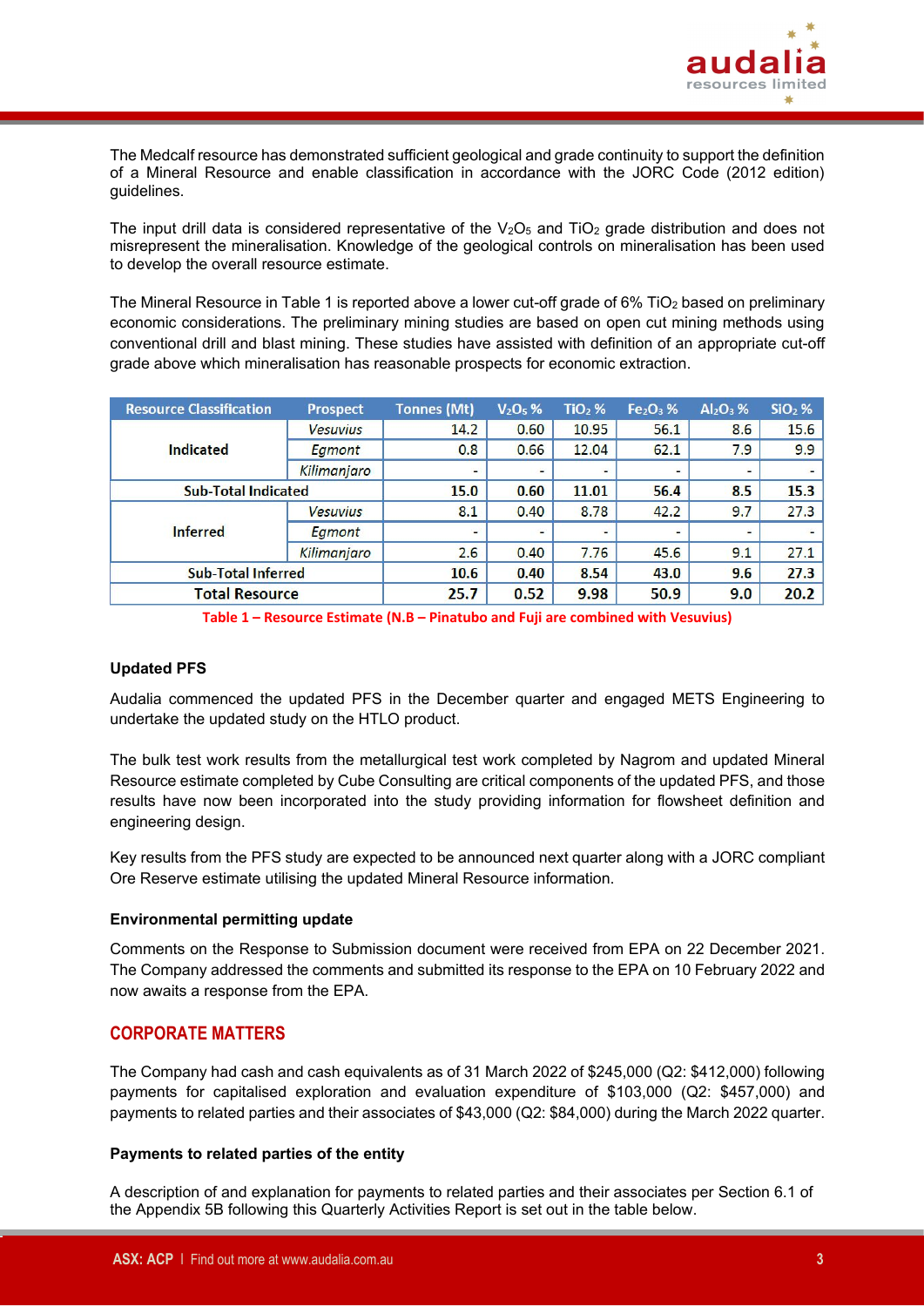

The Medcalf resource has demonstrated sufficient geological and grade continuity to support the definition of a Mineral Resource and enable classification in accordance with the JORC Code (2012 edition) guidelines.

The input drill data is considered representative of the  $V<sub>2</sub>O<sub>5</sub>$  and TiO<sub>2</sub> grade distribution and does not misrepresent the mineralisation. Knowledge of the geological controls on mineralisation has been used to develop the overall resource estimate.

The Mineral Resource in Table 1 is reported above a lower cut-off grade of 6% TiO<sub>2</sub> based on preliminary economic considerations. The preliminary mining studies are based on open cut mining methods using conventional drill and blast mining. These studies have assisted with definition of an appropriate cut-off grade above which mineralisation has reasonable prospects for economic extraction.

| <b>Resource Classification</b> | <b>Prospect</b> | <b>Tonnes (Mt)</b>       | $V2O5$ %                 | $TiO2$ % | $Fe2O3$ % | $Al_2O_3$ % | $SiO2$ % |
|--------------------------------|-----------------|--------------------------|--------------------------|----------|-----------|-------------|----------|
|                                | <b>Vesuvius</b> | 14.2                     | 0.60                     | 10.95    | 56.1      | 8.6         | 15.6     |
| Indicated                      | Egmont          | 0.8                      | 0.66                     | 12.04    | 62.1      | 7.9         | 9.9      |
|                                | Kilimanjaro     | $\overline{\phantom{a}}$ | $\overline{\phantom{0}}$ |          |           |             |          |
| <b>Sub-Total Indicated</b>     |                 | 15.0                     | 0.60                     | 11.01    | 56.4      | 8.5         | 15.3     |
|                                | <b>Vesuvius</b> | 8.1                      | 0.40                     | 8.78     | 42.2      | 9.7         | 27.3     |
| <b>Inferred</b>                | Eamont          | $\overline{a}$           |                          |          |           |             |          |
|                                | Kilimanjaro     | 2.6                      | 0.40                     | 7.76     | 45.6      | 9.1         | 27.1     |
| <b>Sub-Total Inferred</b>      |                 | 10.6                     | 0.40                     | 8.54     | 43.0      | 9.6         | 27.3     |
| <b>Total Resource</b>          |                 | 25.7                     | 0.52                     | 9.98     | 50.9      | 9.0         | 20.2     |

**Table 1 – Resource Estimate (N.B – Pinatubo and Fuji are combined with Vesuvius)**

#### **Updated PFS**

Audalia commenced the updated PFS in the December quarter and engaged METS Engineering to undertake the updated study on the HTLO product.

The bulk test work results from the metallurgical test work completed by Nagrom and updated Mineral Resource estimate completed by Cube Consulting are critical components of the updated PFS, and those results have now been incorporated into the study providing information for flowsheet definition and engineering design.

Key results from the PFS study are expected to be announced next quarter along with a JORC compliant Ore Reserve estimate utilising the updated Mineral Resource information.

#### **Environmental permitting update**

Comments on the Response to Submission document were received from EPA on 22 December 2021. The Company addressed the comments and submitted its response to the EPA on 10 February 2022 and now awaits a response from the EPA.

#### **CORPORATE MATTERS**

The Company had cash and cash equivalents as of 31 March 2022 of \$245,000 (Q2: \$412,000) following payments for capitalised exploration and evaluation expenditure of \$103,000 (Q2: \$457,000) and payments to related parties and their associates of \$43,000 (Q2: \$84,000) during the March 2022 quarter.

#### **Payments to related parties of the entity**

A description of and explanation for payments to related parties and their associates per Section 6.1 of the Appendix 5B following this Quarterly Activities Report is set out in the table below.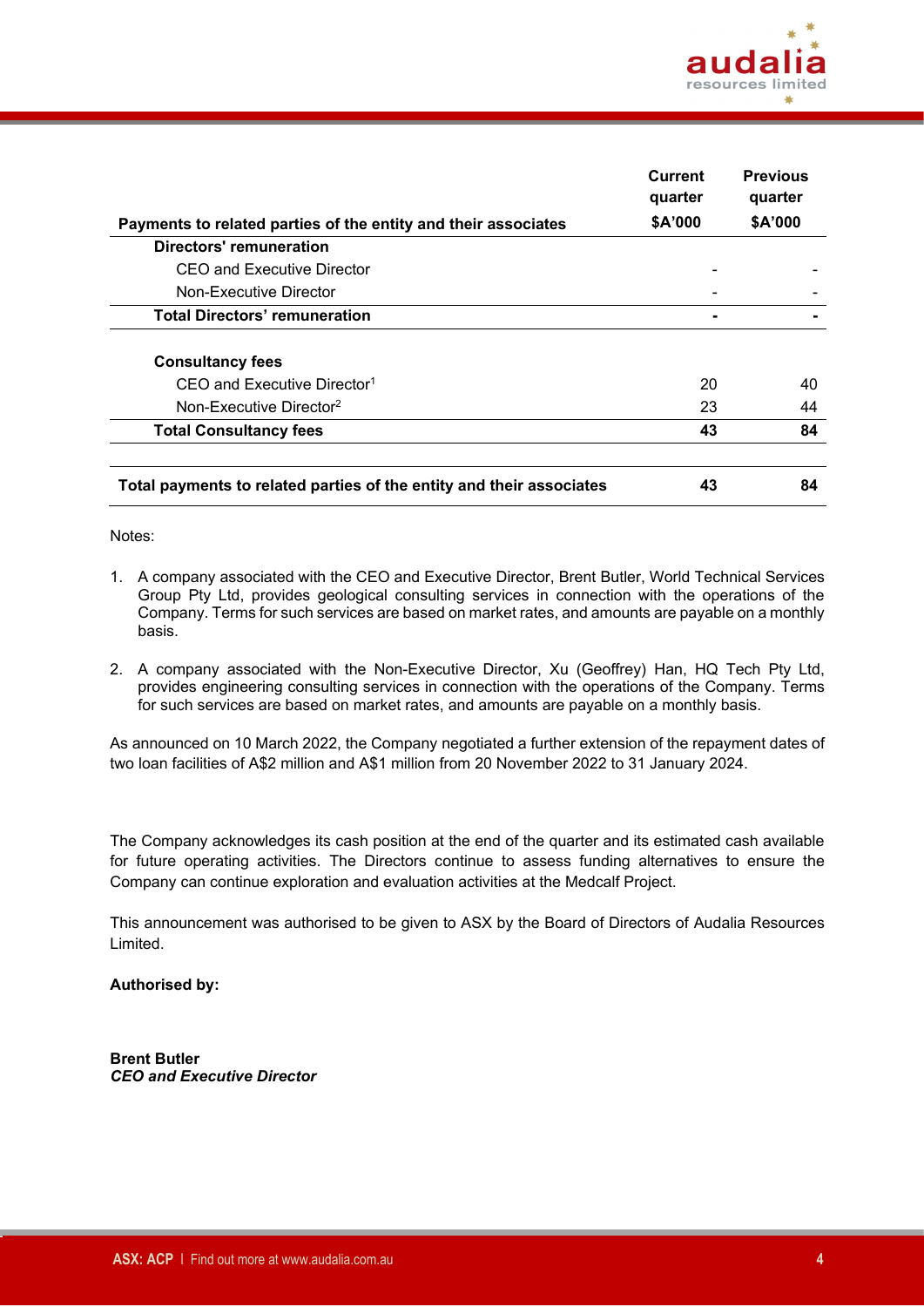

|                                                                      | <b>Current</b><br>quarter | <b>Previous</b><br>quarter |
|----------------------------------------------------------------------|---------------------------|----------------------------|
| Payments to related parties of the entity and their associates       | \$A'000                   | \$A'000                    |
| <b>Directors' remuneration</b>                                       |                           |                            |
| CEO and Executive Director                                           |                           |                            |
| Non-Executive Director                                               |                           |                            |
| <b>Total Directors' remuneration</b>                                 |                           |                            |
| <b>Consultancy fees</b>                                              |                           |                            |
| CEO and Executive Director <sup>1</sup>                              | 20                        | 40                         |
| Non-Executive Director <sup>2</sup>                                  | 23                        | 44                         |
| <b>Total Consultancy fees</b>                                        | 43                        | 84                         |
| Total payments to related parties of the entity and their associates | 43                        | 84                         |

#### Notes:

- 1. A company associated with the CEO and Executive Director, Brent Butler, World Technical Services Group Pty Ltd, provides geological consulting services in connection with the operations of the Company. Terms for such services are based on market rates, and amounts are payable on a monthly basis.
- 2. A company associated with the Non-Executive Director, Xu (Geoffrey) Han, HQ Tech Pty Ltd, provides engineering consulting services in connection with the operations of the Company. Terms for such services are based on market rates, and amounts are payable on a monthly basis.

As announced on 10 March 2022, the Company negotiated a further extension of the repayment dates of two loan facilities of A\$2 million and A\$1 million from 20 November 2022 to 31 January 2024.

The Company acknowledges its cash position at the end of the quarter and its estimated cash available for future operating activities. The Directors continue to assess funding alternatives to ensure the Company can continue exploration and evaluation activities at the Medcalf Project.

This announcement was authorised to be given to ASX by the Board of Directors of Audalia Resources Limited.

#### **Authorised by:**

**Brent Butler** *CEO and Executive Director*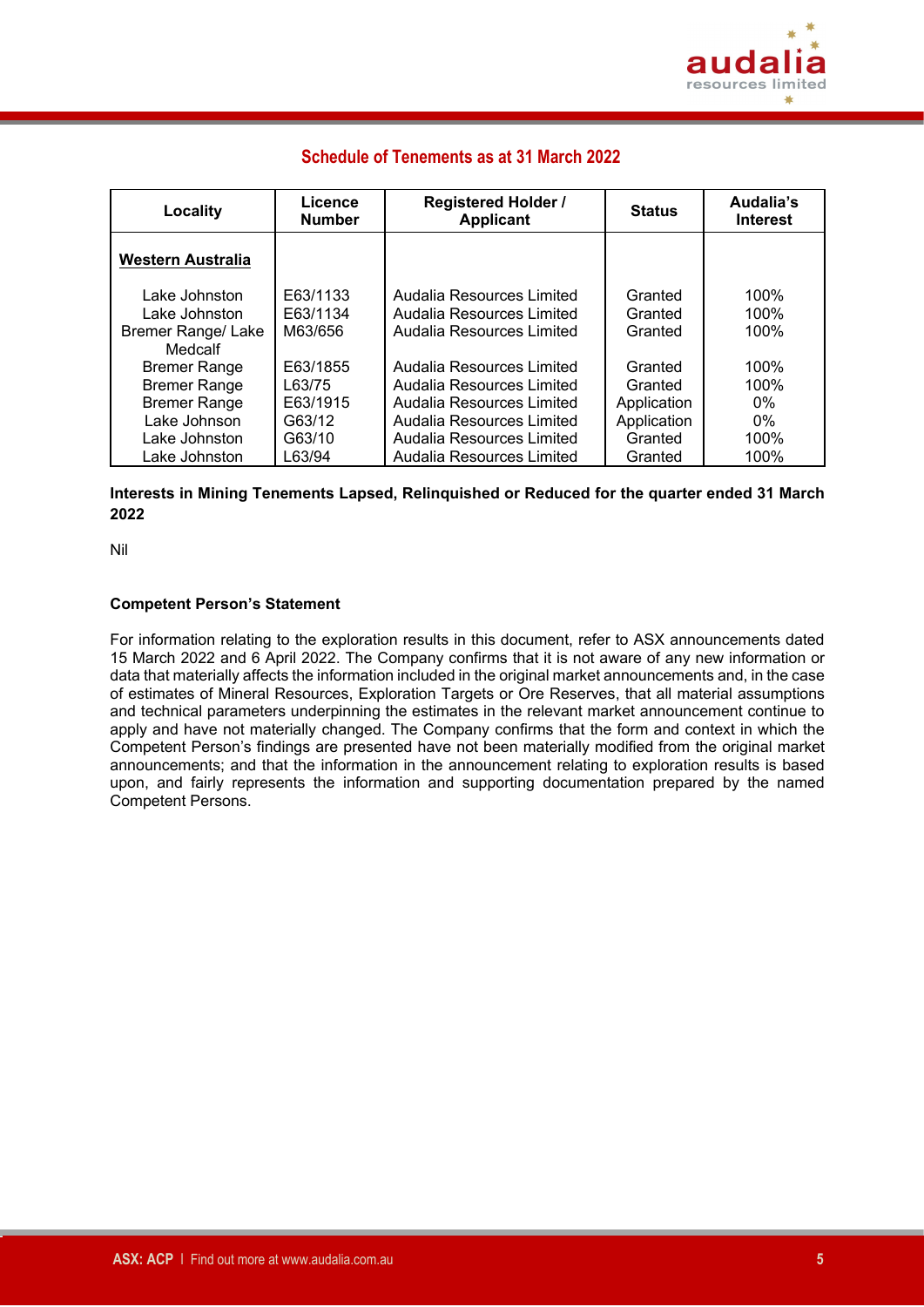

### **Schedule of Tenements as at 31 March 2022**

| <b>Locality</b>                | Licence<br><b>Number</b> | <b>Registered Holder /</b><br><b>Applicant</b>         | <b>Status</b>      | Audalia's<br><b>Interest</b> |
|--------------------------------|--------------------------|--------------------------------------------------------|--------------------|------------------------------|
| Western Australia              |                          |                                                        |                    |                              |
| Lake Johnston<br>Lake Johnston | E63/1133<br>E63/1134     | Audalia Resources Limited<br>Audalia Resources Limited | Granted<br>Granted | 100%<br>100%                 |
| <b>Bremer Range/ Lake</b>      | M63/656                  | Audalia Resources Limited                              | Granted            | 100%                         |
| Medcalf<br><b>Bremer Range</b> | E63/1855                 | Audalia Resources Limited                              | Granted            | 100%                         |
| <b>Bremer Range</b>            | L63/75                   | Audalia Resources Limited                              | Granted            | 100%                         |
| <b>Bremer Range</b>            | E63/1915                 | Audalia Resources Limited                              | Application        | $0\%$                        |
| Lake Johnson                   | G63/12                   | Audalia Resources Limited                              | Application        | $0\%$                        |
| Lake Johnston                  | G63/10                   | Audalia Resources Limited                              | Granted            | 100%                         |
| Lake Johnston                  | L63/94                   | Audalia Resources Limited                              | Granted            | 100%                         |

#### **Interests in Mining Tenements Lapsed, Relinquished or Reduced for the quarter ended 31 March 2022**

Nil

#### **Competent Person's Statement**

For information relating to the exploration results in this document, refer to ASX announcements dated 15 March 2022 and 6 April 2022. The Company confirms that it is not aware of any new information or data that materially affects the information included in the original market announcements and, in the case of estimates of Mineral Resources, Exploration Targets or Ore Reserves, that all material assumptions and technical parameters underpinning the estimates in the relevant market announcement continue to apply and have not materially changed. The Company confirms that the form and context in which the Competent Person's findings are presented have not been materially modified from the original market announcements; and that the information in the announcement relating to exploration results is based upon, and fairly represents the information and supporting documentation prepared by the named Competent Persons.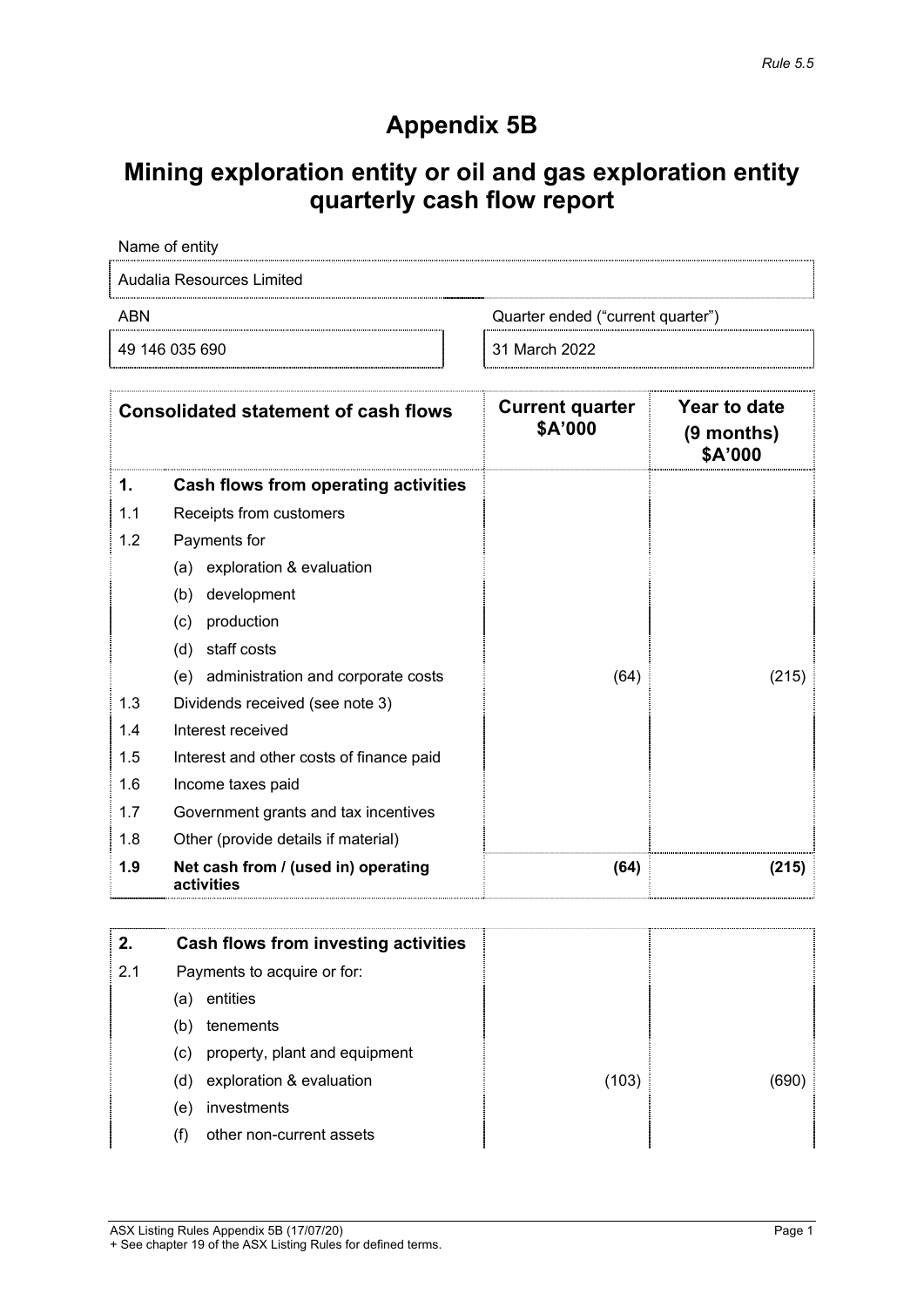## **Appendix 5B**

# **Mining exploration entity or oil and gas exploration entity quarterly cash flow report**

|            | Name of entity                                    |                                   |                                              |
|------------|---------------------------------------------------|-----------------------------------|----------------------------------------------|
|            | Audalia Resources Limited                         |                                   |                                              |
| <b>ABN</b> |                                                   | Quarter ended ("current quarter") |                                              |
|            | 49 146 035 690                                    | 31 March 2022                     |                                              |
|            | <b>Consolidated statement of cash flows</b>       | <b>Current quarter</b><br>\$A'000 | <b>Year to date</b><br>(9 months)<br>\$A'000 |
| 1.         | Cash flows from operating activities              |                                   |                                              |
| 1.1        | Receipts from customers                           |                                   |                                              |
| 1.2        | Payments for                                      |                                   |                                              |
|            | exploration & evaluation<br>(a)                   |                                   |                                              |
|            | development<br>(b)                                |                                   |                                              |
|            | production<br>(c)                                 |                                   |                                              |
|            | staff costs<br>(d)                                |                                   |                                              |
|            | administration and corporate costs<br>(e)         | (64)                              | (215)                                        |
| 1.3        | Dividends received (see note 3)                   |                                   |                                              |
| 1.4        | Interest received                                 |                                   |                                              |
| 1.5        | Interest and other costs of finance paid          |                                   |                                              |
| 1.6        | Income taxes paid                                 |                                   |                                              |
| 1.7        | Government grants and tax incentives              |                                   |                                              |
| 1.8        | Other (provide details if material)               |                                   |                                              |
| 1.9        | Net cash from / (used in) operating<br>activities | (64)                              | (215)                                        |

| 2.  | Cash flows from investing activities |       |       |
|-----|--------------------------------------|-------|-------|
| 2.1 | Payments to acquire or for:          |       |       |
|     | entities<br>(a)                      |       |       |
|     | tenements<br>(b)                     |       |       |
|     | property, plant and equipment<br>(c) |       |       |
|     | exploration & evaluation<br>(d)      | (103) | (690) |
|     | investments<br>(e)                   |       |       |
|     | other non-current assets<br>(f)      |       |       |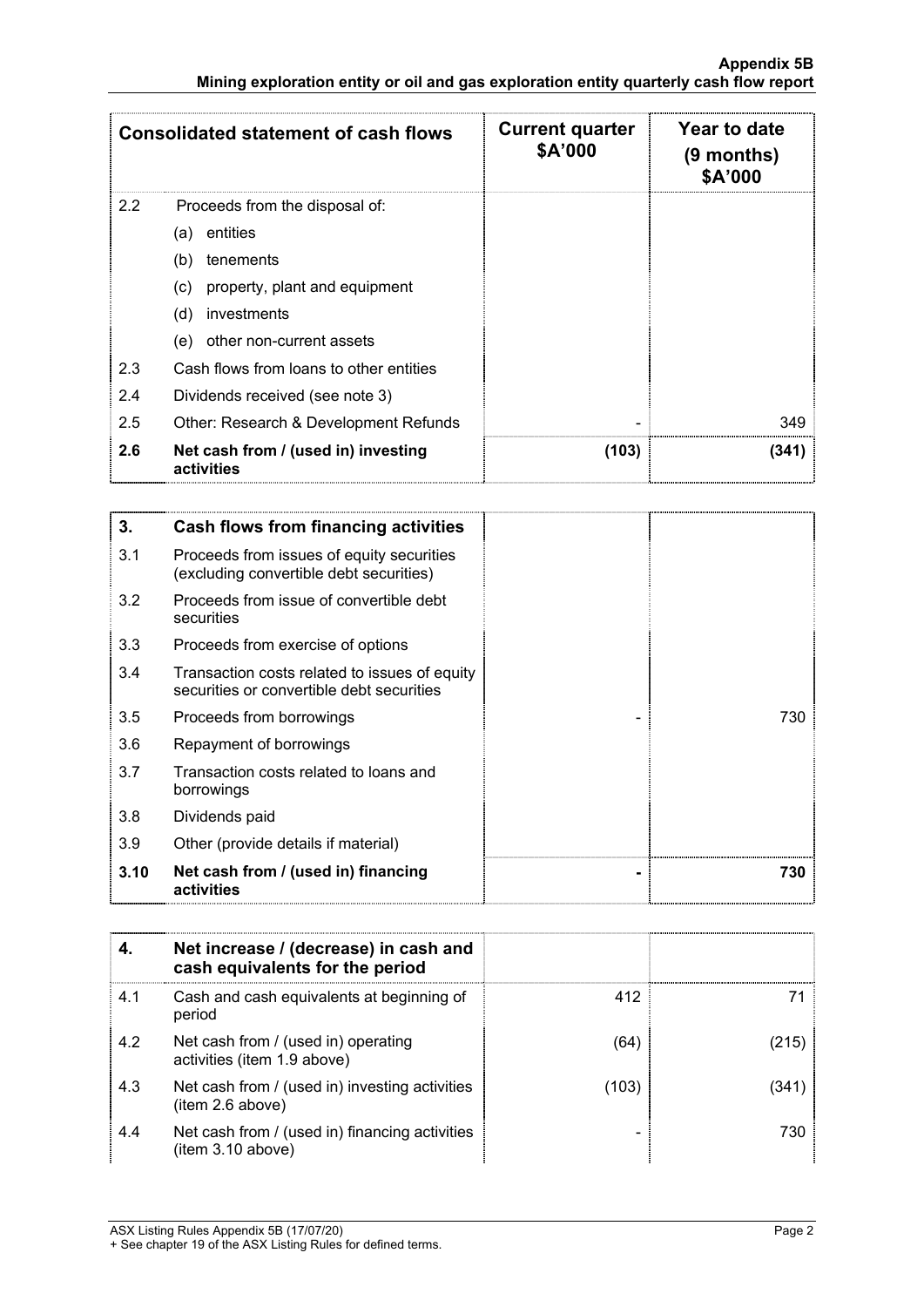|     | <b>Consolidated statement of cash flows</b>       | <b>Current quarter</b><br>\$A'000 | Year to date<br>(9 months)<br>\$A'000 |
|-----|---------------------------------------------------|-----------------------------------|---------------------------------------|
| 2.2 | Proceeds from the disposal of:                    |                                   |                                       |
|     | entities<br>(a)                                   |                                   |                                       |
|     | tenements<br>(b)                                  |                                   |                                       |
|     | (c)<br>property, plant and equipment              |                                   |                                       |
|     | investments<br>(d)                                |                                   |                                       |
|     | other non-current assets<br>(e)                   |                                   |                                       |
| 2.3 | Cash flows from loans to other entities           |                                   |                                       |
| 2.4 | Dividends received (see note 3)                   |                                   |                                       |
| 2.5 | Other: Research & Development Refunds             |                                   | 349                                   |
| 2.6 | Net cash from / (used in) investing<br>activities | (103)                             | (341)                                 |

| 3.   | Cash flows from financing activities                                                       |  |
|------|--------------------------------------------------------------------------------------------|--|
| 3.1  | Proceeds from issues of equity securities<br>(excluding convertible debt securities)       |  |
| 3.2  | Proceeds from issue of convertible debt<br>securities                                      |  |
| 3.3  | Proceeds from exercise of options                                                          |  |
| 3.4  | Transaction costs related to issues of equity<br>securities or convertible debt securities |  |
| 3.5  | Proceeds from borrowings                                                                   |  |
| 3.6  | Repayment of borrowings                                                                    |  |
| 3.7  | Transaction costs related to loans and<br>borrowings                                       |  |
| 3.8  | Dividends paid                                                                             |  |
| 3.9  | Other (provide details if material)                                                        |  |
| 3.10 | Net cash from / (used in) financing<br>activities                                          |  |

|     | Net increase / (decrease) in cash and<br>cash equivalents for the period |       |      |
|-----|--------------------------------------------------------------------------|-------|------|
| 4.1 | Cash and cash equivalents at beginning of<br>period                      | 412   |      |
| 4.2 | Net cash from / (used in) operating<br>activities (item 1.9 above)       | (64)  | 215) |
| 4.3 | Net cash from / (used in) investing activities<br>(item 2.6 above)       | (103) |      |
| 4.4 | Net cash from / (used in) financing activities<br>(item 3.10 above)      |       | 730  |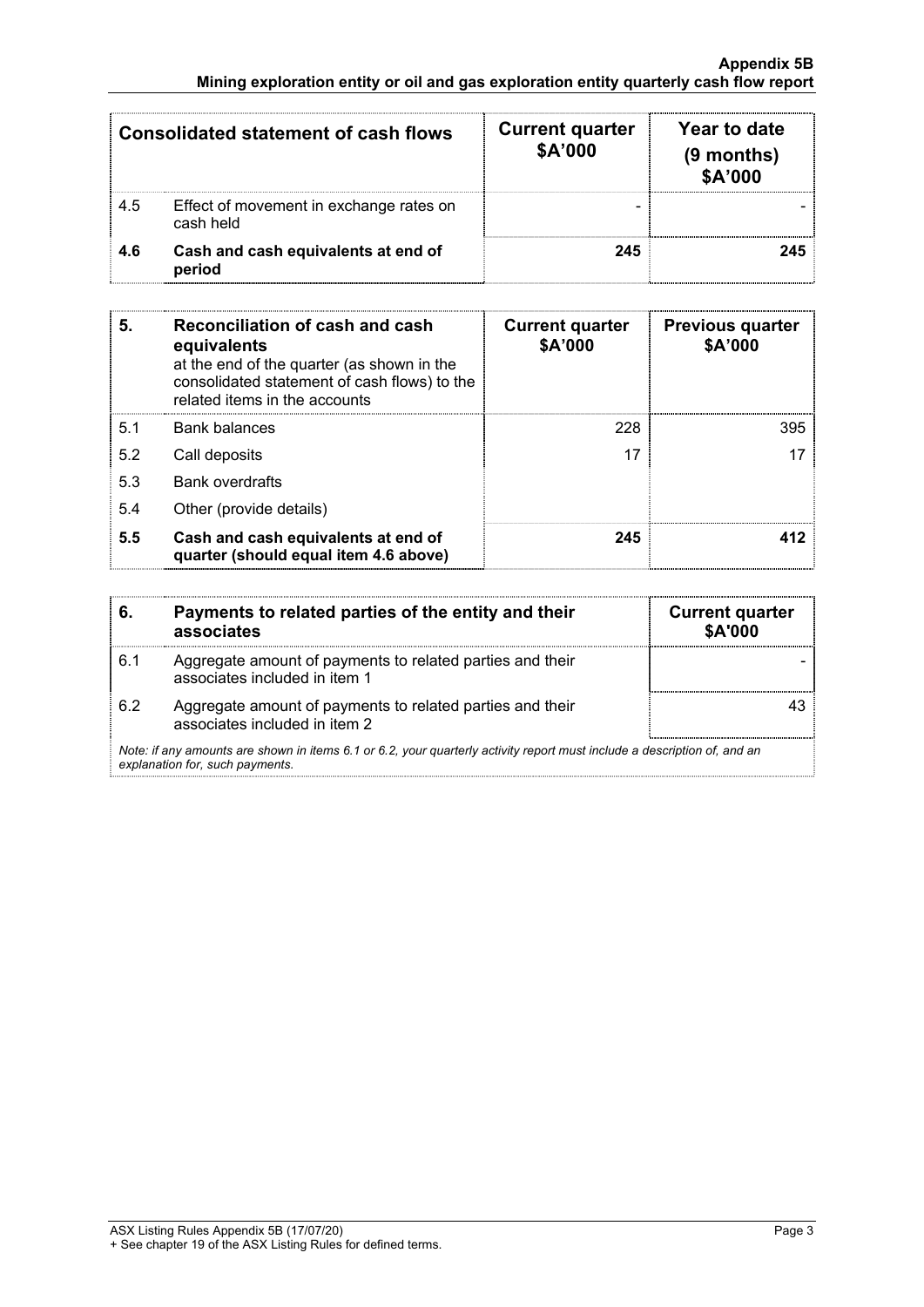| <b>Consolidated statement of cash flows</b> |                                                      | <b>Current quarter</b><br>\$A'000 | Year to date<br>$(9$ months)<br>\$A'000 |
|---------------------------------------------|------------------------------------------------------|-----------------------------------|-----------------------------------------|
| 4.5                                         | Effect of movement in exchange rates on<br>cash held |                                   |                                         |
| 4.6                                         | Cash and cash equivalents at end of<br>period        | 245                               | 245                                     |

| 5.  | Reconciliation of cash and cash<br>equivalents<br>at the end of the quarter (as shown in the<br>consolidated statement of cash flows) to the<br>related items in the accounts | <b>Current quarter</b><br>\$A'000 | <b>Previous quarter</b><br>\$A'000 |
|-----|-------------------------------------------------------------------------------------------------------------------------------------------------------------------------------|-----------------------------------|------------------------------------|
| 5.1 | <b>Bank balances</b>                                                                                                                                                          | 228                               | 395                                |
| 5.2 | Call deposits                                                                                                                                                                 | 17                                |                                    |
| 5.3 | <b>Bank overdrafts</b>                                                                                                                                                        |                                   |                                    |
| 5.4 | Other (provide details)                                                                                                                                                       |                                   |                                    |
| 5.5 | Cash and cash equivalents at end of<br>quarter (should equal item 4.6 above)                                                                                                  | 245                               | 41 2                               |

| 6.  | Payments to related parties of the entity and their<br>associates                                                                                           | <b>Current quarter</b><br>\$A'000 |
|-----|-------------------------------------------------------------------------------------------------------------------------------------------------------------|-----------------------------------|
| 6.1 | Aggregate amount of payments to related parties and their<br>associates included in item 1                                                                  |                                   |
| 62  | Aggregate amount of payments to related parties and their<br>associates included in item 2                                                                  |                                   |
|     | Note: if any amounts are shown in items 6.1 or 6.2, your quarterly activity report must include a description of, and an<br>explanation for, such payments. |                                   |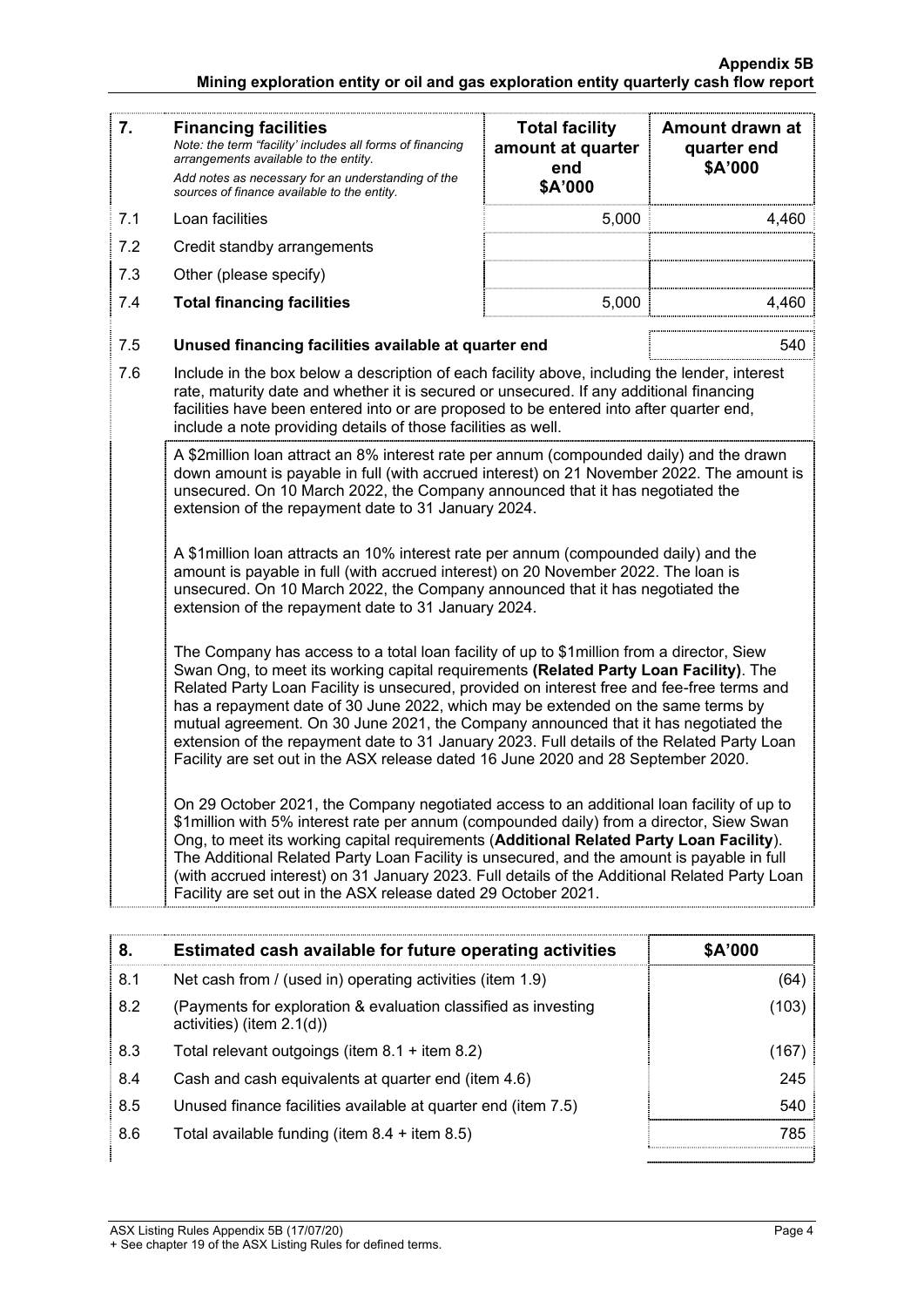| 7.  | <b>Financing facilities</b><br>Note: the term "facility' includes all forms of financing<br>arrangements available to the entity.<br>Add notes as necessary for an understanding of the<br>sources of finance available to the entity.                                                                                                                                                                                                                                                                                                                                                                                                          | <b>Total facility</b><br>amount at quarter<br>end<br>\$A'000 | Amount drawn at<br>quarter end<br>\$A'000 |  |  |
|-----|-------------------------------------------------------------------------------------------------------------------------------------------------------------------------------------------------------------------------------------------------------------------------------------------------------------------------------------------------------------------------------------------------------------------------------------------------------------------------------------------------------------------------------------------------------------------------------------------------------------------------------------------------|--------------------------------------------------------------|-------------------------------------------|--|--|
| 7.1 | Loan facilities                                                                                                                                                                                                                                                                                                                                                                                                                                                                                                                                                                                                                                 | 5,000                                                        | 4,460                                     |  |  |
| 7.2 | Credit standby arrangements                                                                                                                                                                                                                                                                                                                                                                                                                                                                                                                                                                                                                     |                                                              |                                           |  |  |
| 7.3 | Other (please specify)                                                                                                                                                                                                                                                                                                                                                                                                                                                                                                                                                                                                                          |                                                              |                                           |  |  |
| 7.4 | <b>Total financing facilities</b>                                                                                                                                                                                                                                                                                                                                                                                                                                                                                                                                                                                                               | 5,000                                                        | 4,460                                     |  |  |
| 7.5 | Unused financing facilities available at quarter end                                                                                                                                                                                                                                                                                                                                                                                                                                                                                                                                                                                            |                                                              | 540                                       |  |  |
| 7.6 | Include in the box below a description of each facility above, including the lender, interest<br>rate, maturity date and whether it is secured or unsecured. If any additional financing<br>facilities have been entered into or are proposed to be entered into after quarter end,<br>include a note providing details of those facilities as well.                                                                                                                                                                                                                                                                                            |                                                              |                                           |  |  |
|     | A \$2million loan attract an 8% interest rate per annum (compounded daily) and the drawn<br>down amount is payable in full (with accrued interest) on 21 November 2022. The amount is<br>unsecured. On 10 March 2022, the Company announced that it has negotiated the<br>extension of the repayment date to 31 January 2024.                                                                                                                                                                                                                                                                                                                   |                                                              |                                           |  |  |
|     | A \$1 million loan attracts an 10% interest rate per annum (compounded daily) and the<br>amount is payable in full (with accrued interest) on 20 November 2022. The loan is<br>unsecured. On 10 March 2022, the Company announced that it has negotiated the<br>extension of the repayment date to 31 January 2024.                                                                                                                                                                                                                                                                                                                             |                                                              |                                           |  |  |
|     | The Company has access to a total loan facility of up to \$1 million from a director, Siew<br>Swan Ong, to meet its working capital requirements (Related Party Loan Facility). The<br>Related Party Loan Facility is unsecured, provided on interest free and fee-free terms and<br>has a repayment date of 30 June 2022, which may be extended on the same terms by<br>mutual agreement. On 30 June 2021, the Company announced that it has negotiated the<br>extension of the repayment date to 31 January 2023. Full details of the Related Party Loan<br>Facility are set out in the ASX release dated 16 June 2020 and 28 September 2020. |                                                              |                                           |  |  |
|     | On 29 October 2021, the Company negotiated access to an additional loan facility of up to<br>\$1million with 5% interest rate per annum (compounded daily) from a director, Siew Swan<br>Ong, to meet its working capital requirements (Additional Related Party Loan Facility).<br>The Additional Related Party Loan Facility is unsecured, and the amount is payable in full<br>(with accrued interest) on 31 January 2023. Full details of the Additional Related Party Loan<br>Facility are set out in the ASX release dated 29 October 2021.                                                                                               |                                                              |                                           |  |  |

| 8.  | Estimated cash available for future operating activities                                                | \$A'000 |
|-----|---------------------------------------------------------------------------------------------------------|---------|
| 8.1 | Net cash from / (used in) operating activities (item 1.9)                                               | (64)    |
| 8.2 | (103)<br>(Payments for exploration & evaluation classified as investing<br>activities) (item $2.1(d)$ ) |         |
| 8.3 | Total relevant outgoings (item $8.1 +$ item $8.2$ )<br>(167)                                            |         |
| 8.4 | 245<br>Cash and cash equivalents at quarter end (item 4.6)                                              |         |
| 8.5 | Unused finance facilities available at quarter end (item 7.5)                                           | 540     |
| 8.6 | Total available funding (item $8.4 +$ item $8.5$ )                                                      | 785     |
|     |                                                                                                         |         |

ASX Listing Rules Appendix 5B (17/07/20) Page 4

<sup>+</sup> See chapter 19 of the ASX Listing Rules for defined terms.